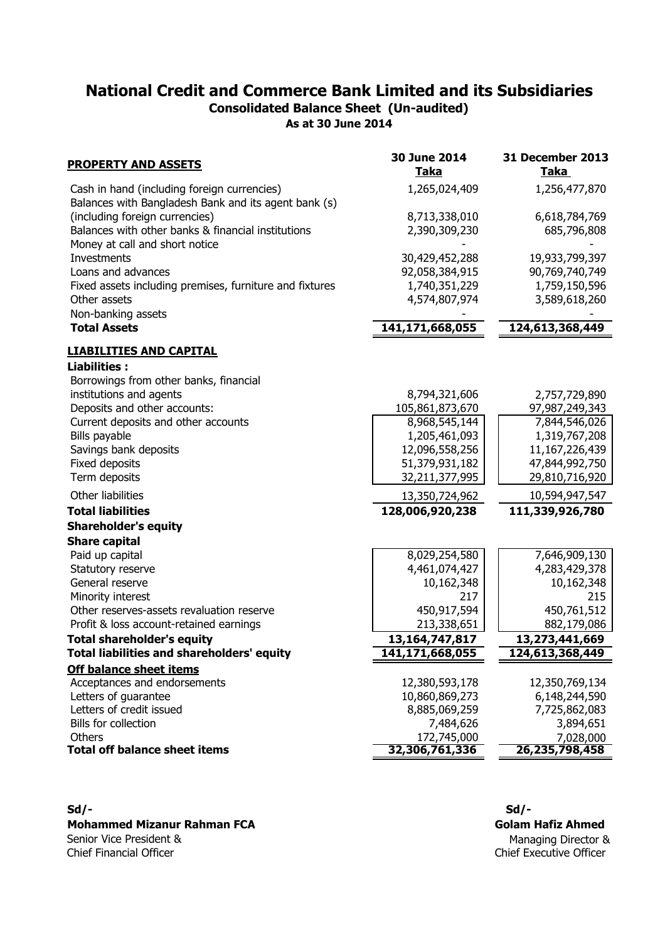**As at 30 June 2014 Consolidated Balance Sheet (Un-audited)**

| <b>PROPERTY AND ASSETS</b>                                                                          | 30 June 2014<br><b>Taka</b> | 31 December 2013<br><u>Taka</u> |
|-----------------------------------------------------------------------------------------------------|-----------------------------|---------------------------------|
| Cash in hand (including foreign currencies)<br>Balances with Bangladesh Bank and its agent bank (s) | 1,265,024,409               | 1,256,477,870                   |
| (including foreign currencies)                                                                      | 8,713,338,010               | 6,618,784,769                   |
| Balances with other banks & financial institutions                                                  | 2,390,309,230               | 685,796,808                     |
| Money at call and short notice                                                                      |                             |                                 |
| Investments                                                                                         | 30,429,452,288              | 19,933,799,397                  |
| Loans and advances                                                                                  | 92,058,384,915              | 90,769,740,749                  |
| Fixed assets including premises, furniture and fixtures                                             | 1,740,351,229               | 1,759,150,596                   |
| Other assets                                                                                        | 4,574,807,974               | 3,589,618,260                   |
| Non-banking assets                                                                                  |                             |                                 |
| <b>Total Assets</b>                                                                                 | 141,171,668,055             | 124,613,368,449                 |
| <u>LIABILITIES AND CAPITAL</u>                                                                      |                             |                                 |
| <b>Liabilities:</b>                                                                                 |                             |                                 |
| Borrowings from other banks, financial                                                              |                             |                                 |
| institutions and agents                                                                             | 8,794,321,606               | 2,757,729,890                   |
| Deposits and other accounts:                                                                        | 105,861,873,670             | 97,987,249,343                  |
| Current deposits and other accounts                                                                 | 8,968,545,144               | 7,844,546,026                   |
| Bills payable                                                                                       | 1,205,461,093               | 1,319,767,208                   |
| Savings bank deposits                                                                               | 12,096,558,256              | 11,167,226,439                  |
| Fixed deposits                                                                                      | 51,379,931,182              | 47,844,992,750                  |
| Term deposits                                                                                       | 32,211,377,995              | 29,810,716,920                  |
| Other liabilities                                                                                   | 13,350,724,962              | 10,594,947,547                  |
| <b>Total liabilities</b>                                                                            | 128,006,920,238             | 111,339,926,780                 |
| <b>Shareholder's equity</b>                                                                         |                             |                                 |
| <b>Share capital</b>                                                                                |                             |                                 |
| Paid up capital                                                                                     | 8,029,254,580               | 7,646,909,130                   |
| Statutory reserve                                                                                   | 4,461,074,427               | 4,283,429,378                   |
| General reserve                                                                                     | 10,162,348                  | 10,162,348                      |
| Minority interest                                                                                   | 217                         | 215                             |
| Other reserves-assets revaluation reserve                                                           | 450,917,594                 | 450,761,512                     |
| Profit & loss account-retained earnings                                                             | 213,338,651                 | 882,179,086                     |
| <b>Total shareholder's equity</b>                                                                   | 13,164,747,817              | 13,273,441,669                  |
| Total liabilities and shareholders' equity                                                          | 141,171,668,055             | 124,613,368,449                 |
| <b>Off balance sheet items</b>                                                                      |                             |                                 |
| Acceptances and endorsements                                                                        | 12,380,593,178              | 12,350,769,134                  |
| Letters of quarantee                                                                                | 10,860,869,273              | 6,148,244,590                   |
| Letters of credit issued                                                                            | 8,885,069,259               | 7,725,862,083                   |
| Bills for collection                                                                                | 7,484,626                   | 3,894,651                       |
| Others<br><b>Total off balance sheet items</b>                                                      | 172,745,000                 | 7,028,000                       |
|                                                                                                     | 32,306,761,336              | 26,235,798,458                  |

### **Mohammed Mizanur Rahman FCA** Senior Vice President &

Chief Financial Officer

**Sd/- Sd/-** Chief Executive Officer Managing Director & **Golam Hafiz Ahmed**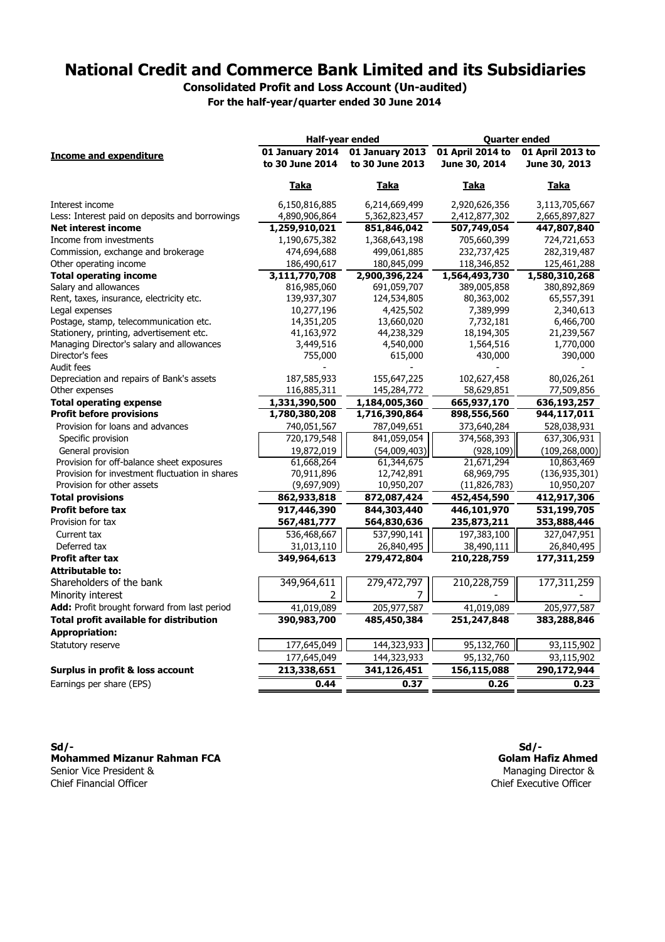**Consolidated Profit and Loss Account (Un-audited)**

**For the half-year/quarter ended 30 June 2014**

| 01 January 2014<br>01 January 2013<br>01 April 2013 to<br><b>Income and expenditure</b><br>to 30 June 2014<br>to 30 June 2013<br>June 30, 2014<br>June 30, 2013<br>Taka<br>Taka<br>Taka<br>Taka<br>6,150,816,885<br>6,214,669,499<br>2,920,626,356<br>Interest income<br>3,113,705,667<br>Less: Interest paid on deposits and borrowings<br>5,362,823,457<br>2,412,877,302<br>2,665,897,827<br>4,890,906,864<br><b>Net interest income</b><br>1,259,910,021<br>851,846,042<br>507,749,054<br>447,807,840<br>Income from investments<br>705,660,399<br>724,721,653<br>1,190,675,382<br>1,368,643,198<br>232,737,425<br>282,319,487<br>Commission, exchange and brokerage<br>474,694,688<br>499,061,885<br>Other operating income<br>186,490,617<br>180,845,099<br>118,346,852<br>125,461,288<br>2,900,396,224<br>1,564,493,730<br><b>Total operating income</b><br>3,111,770,708<br>1,580,310,268<br>Salary and allowances<br>816,985,060<br>691,059,707<br>389,005,858<br>380,892,869<br>Rent, taxes, insurance, electricity etc.<br>139,937,307<br>124,534,805<br>80,363,002<br>65,557,391<br>10,277,196<br>7,389,999<br>2,340,613<br>Legal expenses<br>4,425,502<br>Postage, stamp, telecommunication etc.<br>14,351,205<br>6,466,700<br>13,660,020<br>7,732,181<br>Stationery, printing, advertisement etc.<br>41,163,972<br>44,238,329<br>18,194,305<br>21,239,567<br>Managing Director's salary and allowances<br>3,449,516<br>4,540,000<br>1,564,516<br>1,770,000<br>Director's fees<br>755,000<br>615,000<br>430,000<br>390,000<br>Audit fees<br>Depreciation and repairs of Bank's assets<br>187,585,933<br>155,647,225<br>102,627,458<br>80,026,261<br>145,284,772<br>58,629,851<br>77,509,856<br>Other expenses<br>116,885,311<br><b>Total operating expense</b><br>1,331,390,500<br>1,184,005,360<br>665,937,170<br>636,193,257<br><b>Profit before provisions</b><br>1,780,380,208<br>1,716,390,864<br>898,556,560<br>944,117,011<br>Provision for loans and advances<br>740,051,567<br>787,049,651<br>373,640,284<br>528,038,931<br>720,179,548<br>841,059,054<br>374,568,393<br>637,306,931<br>Specific provision<br>General provision<br>(54,009,403)<br>(109, 268, 000)<br>19,872,019<br>(928, 109)<br>Provision for off-balance sheet exposures<br>61,668,264<br>61,344,675<br>21,671,294<br>10,863,469<br>Provision for investment fluctuation in shares<br>68,969,795<br>(136, 935, 301)<br>70,911,896<br>12,742,891<br>Provision for other assets<br>(9,697,909)<br>10,950,207<br>(11, 826, 783)<br>10,950,207<br><b>Total provisions</b><br>872,087,424<br>452,454,590<br>412,917,306<br>862,933,818<br><b>Profit before tax</b><br>917,446,390<br>844,303,440<br>446,101,970<br>531,199,705<br>353,888,446<br>Provision for tax<br>567,481,777<br>564,830,636<br>235,873,211<br>197,383,100<br>327,047,951<br>Current tax<br>536,468,667<br>537,990,141<br>Deferred tax<br>26,840,495<br>26,840,495<br>31,013,110<br>38,490,111<br>279,472,804<br>177,311,259<br><b>Profit after tax</b><br>349,964,613<br>210,228,759<br><b>Attributable to:</b><br>Shareholders of the bank<br>349,964,611<br>279,472,797<br>210,228,759<br>177,311,259<br>Minority interest<br>2<br>7<br>Add: Profit brought forward from last period<br>41,019,089<br>205,977,587<br>41,019,089<br>205,977,587<br><b>Total profit available for distribution</b><br>390,983,700<br>485,450,384<br>251,247,848<br>383,288,846<br><b>Appropriation:</b><br>177,645,049<br>144,323,933<br>95,132,760<br>Statutory reserve<br>93,115,902<br>144,323,933<br>95,132,760<br>177,645,049<br>93,115,902<br>290,172,944<br>Surplus in profit & loss account<br>213,338,651<br>341,126,451<br>156,115,088<br>Earnings per share (EPS)<br>0.44<br>0.37<br>0.26<br>0.23 | Half-year ended |  | <b>Quarter ended</b> |  |  |
|------------------------------------------------------------------------------------------------------------------------------------------------------------------------------------------------------------------------------------------------------------------------------------------------------------------------------------------------------------------------------------------------------------------------------------------------------------------------------------------------------------------------------------------------------------------------------------------------------------------------------------------------------------------------------------------------------------------------------------------------------------------------------------------------------------------------------------------------------------------------------------------------------------------------------------------------------------------------------------------------------------------------------------------------------------------------------------------------------------------------------------------------------------------------------------------------------------------------------------------------------------------------------------------------------------------------------------------------------------------------------------------------------------------------------------------------------------------------------------------------------------------------------------------------------------------------------------------------------------------------------------------------------------------------------------------------------------------------------------------------------------------------------------------------------------------------------------------------------------------------------------------------------------------------------------------------------------------------------------------------------------------------------------------------------------------------------------------------------------------------------------------------------------------------------------------------------------------------------------------------------------------------------------------------------------------------------------------------------------------------------------------------------------------------------------------------------------------------------------------------------------------------------------------------------------------------------------------------------------------------------------------------------------------------------------------------------------------------------------------------------------------------------------------------------------------------------------------------------------------------------------------------------------------------------------------------------------------------------------------------------------------------------------------------------------------------------------------------------------------------------------------------------------------------------------------------------------------------------------------------------------------------------------------------------------------------------------------------------------------------------------------------------------------------------------------------------------------------------------------------------------------------------------------------------------------------------------------------------------------------------------------------------------------------------------------------------------------------------------------------------|-----------------|--|----------------------|--|--|
|                                                                                                                                                                                                                                                                                                                                                                                                                                                                                                                                                                                                                                                                                                                                                                                                                                                                                                                                                                                                                                                                                                                                                                                                                                                                                                                                                                                                                                                                                                                                                                                                                                                                                                                                                                                                                                                                                                                                                                                                                                                                                                                                                                                                                                                                                                                                                                                                                                                                                                                                                                                                                                                                                                                                                                                                                                                                                                                                                                                                                                                                                                                                                                                                                                                                                                                                                                                                                                                                                                                                                                                                                                                                                                                                                      |                 |  | 01 April 2014 to     |  |  |
|                                                                                                                                                                                                                                                                                                                                                                                                                                                                                                                                                                                                                                                                                                                                                                                                                                                                                                                                                                                                                                                                                                                                                                                                                                                                                                                                                                                                                                                                                                                                                                                                                                                                                                                                                                                                                                                                                                                                                                                                                                                                                                                                                                                                                                                                                                                                                                                                                                                                                                                                                                                                                                                                                                                                                                                                                                                                                                                                                                                                                                                                                                                                                                                                                                                                                                                                                                                                                                                                                                                                                                                                                                                                                                                                                      |                 |  |                      |  |  |
|                                                                                                                                                                                                                                                                                                                                                                                                                                                                                                                                                                                                                                                                                                                                                                                                                                                                                                                                                                                                                                                                                                                                                                                                                                                                                                                                                                                                                                                                                                                                                                                                                                                                                                                                                                                                                                                                                                                                                                                                                                                                                                                                                                                                                                                                                                                                                                                                                                                                                                                                                                                                                                                                                                                                                                                                                                                                                                                                                                                                                                                                                                                                                                                                                                                                                                                                                                                                                                                                                                                                                                                                                                                                                                                                                      |                 |  |                      |  |  |
|                                                                                                                                                                                                                                                                                                                                                                                                                                                                                                                                                                                                                                                                                                                                                                                                                                                                                                                                                                                                                                                                                                                                                                                                                                                                                                                                                                                                                                                                                                                                                                                                                                                                                                                                                                                                                                                                                                                                                                                                                                                                                                                                                                                                                                                                                                                                                                                                                                                                                                                                                                                                                                                                                                                                                                                                                                                                                                                                                                                                                                                                                                                                                                                                                                                                                                                                                                                                                                                                                                                                                                                                                                                                                                                                                      |                 |  |                      |  |  |
|                                                                                                                                                                                                                                                                                                                                                                                                                                                                                                                                                                                                                                                                                                                                                                                                                                                                                                                                                                                                                                                                                                                                                                                                                                                                                                                                                                                                                                                                                                                                                                                                                                                                                                                                                                                                                                                                                                                                                                                                                                                                                                                                                                                                                                                                                                                                                                                                                                                                                                                                                                                                                                                                                                                                                                                                                                                                                                                                                                                                                                                                                                                                                                                                                                                                                                                                                                                                                                                                                                                                                                                                                                                                                                                                                      |                 |  |                      |  |  |
|                                                                                                                                                                                                                                                                                                                                                                                                                                                                                                                                                                                                                                                                                                                                                                                                                                                                                                                                                                                                                                                                                                                                                                                                                                                                                                                                                                                                                                                                                                                                                                                                                                                                                                                                                                                                                                                                                                                                                                                                                                                                                                                                                                                                                                                                                                                                                                                                                                                                                                                                                                                                                                                                                                                                                                                                                                                                                                                                                                                                                                                                                                                                                                                                                                                                                                                                                                                                                                                                                                                                                                                                                                                                                                                                                      |                 |  |                      |  |  |
|                                                                                                                                                                                                                                                                                                                                                                                                                                                                                                                                                                                                                                                                                                                                                                                                                                                                                                                                                                                                                                                                                                                                                                                                                                                                                                                                                                                                                                                                                                                                                                                                                                                                                                                                                                                                                                                                                                                                                                                                                                                                                                                                                                                                                                                                                                                                                                                                                                                                                                                                                                                                                                                                                                                                                                                                                                                                                                                                                                                                                                                                                                                                                                                                                                                                                                                                                                                                                                                                                                                                                                                                                                                                                                                                                      |                 |  |                      |  |  |
|                                                                                                                                                                                                                                                                                                                                                                                                                                                                                                                                                                                                                                                                                                                                                                                                                                                                                                                                                                                                                                                                                                                                                                                                                                                                                                                                                                                                                                                                                                                                                                                                                                                                                                                                                                                                                                                                                                                                                                                                                                                                                                                                                                                                                                                                                                                                                                                                                                                                                                                                                                                                                                                                                                                                                                                                                                                                                                                                                                                                                                                                                                                                                                                                                                                                                                                                                                                                                                                                                                                                                                                                                                                                                                                                                      |                 |  |                      |  |  |
|                                                                                                                                                                                                                                                                                                                                                                                                                                                                                                                                                                                                                                                                                                                                                                                                                                                                                                                                                                                                                                                                                                                                                                                                                                                                                                                                                                                                                                                                                                                                                                                                                                                                                                                                                                                                                                                                                                                                                                                                                                                                                                                                                                                                                                                                                                                                                                                                                                                                                                                                                                                                                                                                                                                                                                                                                                                                                                                                                                                                                                                                                                                                                                                                                                                                                                                                                                                                                                                                                                                                                                                                                                                                                                                                                      |                 |  |                      |  |  |
|                                                                                                                                                                                                                                                                                                                                                                                                                                                                                                                                                                                                                                                                                                                                                                                                                                                                                                                                                                                                                                                                                                                                                                                                                                                                                                                                                                                                                                                                                                                                                                                                                                                                                                                                                                                                                                                                                                                                                                                                                                                                                                                                                                                                                                                                                                                                                                                                                                                                                                                                                                                                                                                                                                                                                                                                                                                                                                                                                                                                                                                                                                                                                                                                                                                                                                                                                                                                                                                                                                                                                                                                                                                                                                                                                      |                 |  |                      |  |  |
|                                                                                                                                                                                                                                                                                                                                                                                                                                                                                                                                                                                                                                                                                                                                                                                                                                                                                                                                                                                                                                                                                                                                                                                                                                                                                                                                                                                                                                                                                                                                                                                                                                                                                                                                                                                                                                                                                                                                                                                                                                                                                                                                                                                                                                                                                                                                                                                                                                                                                                                                                                                                                                                                                                                                                                                                                                                                                                                                                                                                                                                                                                                                                                                                                                                                                                                                                                                                                                                                                                                                                                                                                                                                                                                                                      |                 |  |                      |  |  |
|                                                                                                                                                                                                                                                                                                                                                                                                                                                                                                                                                                                                                                                                                                                                                                                                                                                                                                                                                                                                                                                                                                                                                                                                                                                                                                                                                                                                                                                                                                                                                                                                                                                                                                                                                                                                                                                                                                                                                                                                                                                                                                                                                                                                                                                                                                                                                                                                                                                                                                                                                                                                                                                                                                                                                                                                                                                                                                                                                                                                                                                                                                                                                                                                                                                                                                                                                                                                                                                                                                                                                                                                                                                                                                                                                      |                 |  |                      |  |  |
|                                                                                                                                                                                                                                                                                                                                                                                                                                                                                                                                                                                                                                                                                                                                                                                                                                                                                                                                                                                                                                                                                                                                                                                                                                                                                                                                                                                                                                                                                                                                                                                                                                                                                                                                                                                                                                                                                                                                                                                                                                                                                                                                                                                                                                                                                                                                                                                                                                                                                                                                                                                                                                                                                                                                                                                                                                                                                                                                                                                                                                                                                                                                                                                                                                                                                                                                                                                                                                                                                                                                                                                                                                                                                                                                                      |                 |  |                      |  |  |
|                                                                                                                                                                                                                                                                                                                                                                                                                                                                                                                                                                                                                                                                                                                                                                                                                                                                                                                                                                                                                                                                                                                                                                                                                                                                                                                                                                                                                                                                                                                                                                                                                                                                                                                                                                                                                                                                                                                                                                                                                                                                                                                                                                                                                                                                                                                                                                                                                                                                                                                                                                                                                                                                                                                                                                                                                                                                                                                                                                                                                                                                                                                                                                                                                                                                                                                                                                                                                                                                                                                                                                                                                                                                                                                                                      |                 |  |                      |  |  |
|                                                                                                                                                                                                                                                                                                                                                                                                                                                                                                                                                                                                                                                                                                                                                                                                                                                                                                                                                                                                                                                                                                                                                                                                                                                                                                                                                                                                                                                                                                                                                                                                                                                                                                                                                                                                                                                                                                                                                                                                                                                                                                                                                                                                                                                                                                                                                                                                                                                                                                                                                                                                                                                                                                                                                                                                                                                                                                                                                                                                                                                                                                                                                                                                                                                                                                                                                                                                                                                                                                                                                                                                                                                                                                                                                      |                 |  |                      |  |  |
|                                                                                                                                                                                                                                                                                                                                                                                                                                                                                                                                                                                                                                                                                                                                                                                                                                                                                                                                                                                                                                                                                                                                                                                                                                                                                                                                                                                                                                                                                                                                                                                                                                                                                                                                                                                                                                                                                                                                                                                                                                                                                                                                                                                                                                                                                                                                                                                                                                                                                                                                                                                                                                                                                                                                                                                                                                                                                                                                                                                                                                                                                                                                                                                                                                                                                                                                                                                                                                                                                                                                                                                                                                                                                                                                                      |                 |  |                      |  |  |
|                                                                                                                                                                                                                                                                                                                                                                                                                                                                                                                                                                                                                                                                                                                                                                                                                                                                                                                                                                                                                                                                                                                                                                                                                                                                                                                                                                                                                                                                                                                                                                                                                                                                                                                                                                                                                                                                                                                                                                                                                                                                                                                                                                                                                                                                                                                                                                                                                                                                                                                                                                                                                                                                                                                                                                                                                                                                                                                                                                                                                                                                                                                                                                                                                                                                                                                                                                                                                                                                                                                                                                                                                                                                                                                                                      |                 |  |                      |  |  |
|                                                                                                                                                                                                                                                                                                                                                                                                                                                                                                                                                                                                                                                                                                                                                                                                                                                                                                                                                                                                                                                                                                                                                                                                                                                                                                                                                                                                                                                                                                                                                                                                                                                                                                                                                                                                                                                                                                                                                                                                                                                                                                                                                                                                                                                                                                                                                                                                                                                                                                                                                                                                                                                                                                                                                                                                                                                                                                                                                                                                                                                                                                                                                                                                                                                                                                                                                                                                                                                                                                                                                                                                                                                                                                                                                      |                 |  |                      |  |  |
|                                                                                                                                                                                                                                                                                                                                                                                                                                                                                                                                                                                                                                                                                                                                                                                                                                                                                                                                                                                                                                                                                                                                                                                                                                                                                                                                                                                                                                                                                                                                                                                                                                                                                                                                                                                                                                                                                                                                                                                                                                                                                                                                                                                                                                                                                                                                                                                                                                                                                                                                                                                                                                                                                                                                                                                                                                                                                                                                                                                                                                                                                                                                                                                                                                                                                                                                                                                                                                                                                                                                                                                                                                                                                                                                                      |                 |  |                      |  |  |
|                                                                                                                                                                                                                                                                                                                                                                                                                                                                                                                                                                                                                                                                                                                                                                                                                                                                                                                                                                                                                                                                                                                                                                                                                                                                                                                                                                                                                                                                                                                                                                                                                                                                                                                                                                                                                                                                                                                                                                                                                                                                                                                                                                                                                                                                                                                                                                                                                                                                                                                                                                                                                                                                                                                                                                                                                                                                                                                                                                                                                                                                                                                                                                                                                                                                                                                                                                                                                                                                                                                                                                                                                                                                                                                                                      |                 |  |                      |  |  |
|                                                                                                                                                                                                                                                                                                                                                                                                                                                                                                                                                                                                                                                                                                                                                                                                                                                                                                                                                                                                                                                                                                                                                                                                                                                                                                                                                                                                                                                                                                                                                                                                                                                                                                                                                                                                                                                                                                                                                                                                                                                                                                                                                                                                                                                                                                                                                                                                                                                                                                                                                                                                                                                                                                                                                                                                                                                                                                                                                                                                                                                                                                                                                                                                                                                                                                                                                                                                                                                                                                                                                                                                                                                                                                                                                      |                 |  |                      |  |  |
|                                                                                                                                                                                                                                                                                                                                                                                                                                                                                                                                                                                                                                                                                                                                                                                                                                                                                                                                                                                                                                                                                                                                                                                                                                                                                                                                                                                                                                                                                                                                                                                                                                                                                                                                                                                                                                                                                                                                                                                                                                                                                                                                                                                                                                                                                                                                                                                                                                                                                                                                                                                                                                                                                                                                                                                                                                                                                                                                                                                                                                                                                                                                                                                                                                                                                                                                                                                                                                                                                                                                                                                                                                                                                                                                                      |                 |  |                      |  |  |
|                                                                                                                                                                                                                                                                                                                                                                                                                                                                                                                                                                                                                                                                                                                                                                                                                                                                                                                                                                                                                                                                                                                                                                                                                                                                                                                                                                                                                                                                                                                                                                                                                                                                                                                                                                                                                                                                                                                                                                                                                                                                                                                                                                                                                                                                                                                                                                                                                                                                                                                                                                                                                                                                                                                                                                                                                                                                                                                                                                                                                                                                                                                                                                                                                                                                                                                                                                                                                                                                                                                                                                                                                                                                                                                                                      |                 |  |                      |  |  |
|                                                                                                                                                                                                                                                                                                                                                                                                                                                                                                                                                                                                                                                                                                                                                                                                                                                                                                                                                                                                                                                                                                                                                                                                                                                                                                                                                                                                                                                                                                                                                                                                                                                                                                                                                                                                                                                                                                                                                                                                                                                                                                                                                                                                                                                                                                                                                                                                                                                                                                                                                                                                                                                                                                                                                                                                                                                                                                                                                                                                                                                                                                                                                                                                                                                                                                                                                                                                                                                                                                                                                                                                                                                                                                                                                      |                 |  |                      |  |  |
|                                                                                                                                                                                                                                                                                                                                                                                                                                                                                                                                                                                                                                                                                                                                                                                                                                                                                                                                                                                                                                                                                                                                                                                                                                                                                                                                                                                                                                                                                                                                                                                                                                                                                                                                                                                                                                                                                                                                                                                                                                                                                                                                                                                                                                                                                                                                                                                                                                                                                                                                                                                                                                                                                                                                                                                                                                                                                                                                                                                                                                                                                                                                                                                                                                                                                                                                                                                                                                                                                                                                                                                                                                                                                                                                                      |                 |  |                      |  |  |
|                                                                                                                                                                                                                                                                                                                                                                                                                                                                                                                                                                                                                                                                                                                                                                                                                                                                                                                                                                                                                                                                                                                                                                                                                                                                                                                                                                                                                                                                                                                                                                                                                                                                                                                                                                                                                                                                                                                                                                                                                                                                                                                                                                                                                                                                                                                                                                                                                                                                                                                                                                                                                                                                                                                                                                                                                                                                                                                                                                                                                                                                                                                                                                                                                                                                                                                                                                                                                                                                                                                                                                                                                                                                                                                                                      |                 |  |                      |  |  |
|                                                                                                                                                                                                                                                                                                                                                                                                                                                                                                                                                                                                                                                                                                                                                                                                                                                                                                                                                                                                                                                                                                                                                                                                                                                                                                                                                                                                                                                                                                                                                                                                                                                                                                                                                                                                                                                                                                                                                                                                                                                                                                                                                                                                                                                                                                                                                                                                                                                                                                                                                                                                                                                                                                                                                                                                                                                                                                                                                                                                                                                                                                                                                                                                                                                                                                                                                                                                                                                                                                                                                                                                                                                                                                                                                      |                 |  |                      |  |  |
|                                                                                                                                                                                                                                                                                                                                                                                                                                                                                                                                                                                                                                                                                                                                                                                                                                                                                                                                                                                                                                                                                                                                                                                                                                                                                                                                                                                                                                                                                                                                                                                                                                                                                                                                                                                                                                                                                                                                                                                                                                                                                                                                                                                                                                                                                                                                                                                                                                                                                                                                                                                                                                                                                                                                                                                                                                                                                                                                                                                                                                                                                                                                                                                                                                                                                                                                                                                                                                                                                                                                                                                                                                                                                                                                                      |                 |  |                      |  |  |
|                                                                                                                                                                                                                                                                                                                                                                                                                                                                                                                                                                                                                                                                                                                                                                                                                                                                                                                                                                                                                                                                                                                                                                                                                                                                                                                                                                                                                                                                                                                                                                                                                                                                                                                                                                                                                                                                                                                                                                                                                                                                                                                                                                                                                                                                                                                                                                                                                                                                                                                                                                                                                                                                                                                                                                                                                                                                                                                                                                                                                                                                                                                                                                                                                                                                                                                                                                                                                                                                                                                                                                                                                                                                                                                                                      |                 |  |                      |  |  |
|                                                                                                                                                                                                                                                                                                                                                                                                                                                                                                                                                                                                                                                                                                                                                                                                                                                                                                                                                                                                                                                                                                                                                                                                                                                                                                                                                                                                                                                                                                                                                                                                                                                                                                                                                                                                                                                                                                                                                                                                                                                                                                                                                                                                                                                                                                                                                                                                                                                                                                                                                                                                                                                                                                                                                                                                                                                                                                                                                                                                                                                                                                                                                                                                                                                                                                                                                                                                                                                                                                                                                                                                                                                                                                                                                      |                 |  |                      |  |  |
|                                                                                                                                                                                                                                                                                                                                                                                                                                                                                                                                                                                                                                                                                                                                                                                                                                                                                                                                                                                                                                                                                                                                                                                                                                                                                                                                                                                                                                                                                                                                                                                                                                                                                                                                                                                                                                                                                                                                                                                                                                                                                                                                                                                                                                                                                                                                                                                                                                                                                                                                                                                                                                                                                                                                                                                                                                                                                                                                                                                                                                                                                                                                                                                                                                                                                                                                                                                                                                                                                                                                                                                                                                                                                                                                                      |                 |  |                      |  |  |
|                                                                                                                                                                                                                                                                                                                                                                                                                                                                                                                                                                                                                                                                                                                                                                                                                                                                                                                                                                                                                                                                                                                                                                                                                                                                                                                                                                                                                                                                                                                                                                                                                                                                                                                                                                                                                                                                                                                                                                                                                                                                                                                                                                                                                                                                                                                                                                                                                                                                                                                                                                                                                                                                                                                                                                                                                                                                                                                                                                                                                                                                                                                                                                                                                                                                                                                                                                                                                                                                                                                                                                                                                                                                                                                                                      |                 |  |                      |  |  |
|                                                                                                                                                                                                                                                                                                                                                                                                                                                                                                                                                                                                                                                                                                                                                                                                                                                                                                                                                                                                                                                                                                                                                                                                                                                                                                                                                                                                                                                                                                                                                                                                                                                                                                                                                                                                                                                                                                                                                                                                                                                                                                                                                                                                                                                                                                                                                                                                                                                                                                                                                                                                                                                                                                                                                                                                                                                                                                                                                                                                                                                                                                                                                                                                                                                                                                                                                                                                                                                                                                                                                                                                                                                                                                                                                      |                 |  |                      |  |  |
|                                                                                                                                                                                                                                                                                                                                                                                                                                                                                                                                                                                                                                                                                                                                                                                                                                                                                                                                                                                                                                                                                                                                                                                                                                                                                                                                                                                                                                                                                                                                                                                                                                                                                                                                                                                                                                                                                                                                                                                                                                                                                                                                                                                                                                                                                                                                                                                                                                                                                                                                                                                                                                                                                                                                                                                                                                                                                                                                                                                                                                                                                                                                                                                                                                                                                                                                                                                                                                                                                                                                                                                                                                                                                                                                                      |                 |  |                      |  |  |
|                                                                                                                                                                                                                                                                                                                                                                                                                                                                                                                                                                                                                                                                                                                                                                                                                                                                                                                                                                                                                                                                                                                                                                                                                                                                                                                                                                                                                                                                                                                                                                                                                                                                                                                                                                                                                                                                                                                                                                                                                                                                                                                                                                                                                                                                                                                                                                                                                                                                                                                                                                                                                                                                                                                                                                                                                                                                                                                                                                                                                                                                                                                                                                                                                                                                                                                                                                                                                                                                                                                                                                                                                                                                                                                                                      |                 |  |                      |  |  |
|                                                                                                                                                                                                                                                                                                                                                                                                                                                                                                                                                                                                                                                                                                                                                                                                                                                                                                                                                                                                                                                                                                                                                                                                                                                                                                                                                                                                                                                                                                                                                                                                                                                                                                                                                                                                                                                                                                                                                                                                                                                                                                                                                                                                                                                                                                                                                                                                                                                                                                                                                                                                                                                                                                                                                                                                                                                                                                                                                                                                                                                                                                                                                                                                                                                                                                                                                                                                                                                                                                                                                                                                                                                                                                                                                      |                 |  |                      |  |  |
|                                                                                                                                                                                                                                                                                                                                                                                                                                                                                                                                                                                                                                                                                                                                                                                                                                                                                                                                                                                                                                                                                                                                                                                                                                                                                                                                                                                                                                                                                                                                                                                                                                                                                                                                                                                                                                                                                                                                                                                                                                                                                                                                                                                                                                                                                                                                                                                                                                                                                                                                                                                                                                                                                                                                                                                                                                                                                                                                                                                                                                                                                                                                                                                                                                                                                                                                                                                                                                                                                                                                                                                                                                                                                                                                                      |                 |  |                      |  |  |
|                                                                                                                                                                                                                                                                                                                                                                                                                                                                                                                                                                                                                                                                                                                                                                                                                                                                                                                                                                                                                                                                                                                                                                                                                                                                                                                                                                                                                                                                                                                                                                                                                                                                                                                                                                                                                                                                                                                                                                                                                                                                                                                                                                                                                                                                                                                                                                                                                                                                                                                                                                                                                                                                                                                                                                                                                                                                                                                                                                                                                                                                                                                                                                                                                                                                                                                                                                                                                                                                                                                                                                                                                                                                                                                                                      |                 |  |                      |  |  |
|                                                                                                                                                                                                                                                                                                                                                                                                                                                                                                                                                                                                                                                                                                                                                                                                                                                                                                                                                                                                                                                                                                                                                                                                                                                                                                                                                                                                                                                                                                                                                                                                                                                                                                                                                                                                                                                                                                                                                                                                                                                                                                                                                                                                                                                                                                                                                                                                                                                                                                                                                                                                                                                                                                                                                                                                                                                                                                                                                                                                                                                                                                                                                                                                                                                                                                                                                                                                                                                                                                                                                                                                                                                                                                                                                      |                 |  |                      |  |  |
|                                                                                                                                                                                                                                                                                                                                                                                                                                                                                                                                                                                                                                                                                                                                                                                                                                                                                                                                                                                                                                                                                                                                                                                                                                                                                                                                                                                                                                                                                                                                                                                                                                                                                                                                                                                                                                                                                                                                                                                                                                                                                                                                                                                                                                                                                                                                                                                                                                                                                                                                                                                                                                                                                                                                                                                                                                                                                                                                                                                                                                                                                                                                                                                                                                                                                                                                                                                                                                                                                                                                                                                                                                                                                                                                                      |                 |  |                      |  |  |
|                                                                                                                                                                                                                                                                                                                                                                                                                                                                                                                                                                                                                                                                                                                                                                                                                                                                                                                                                                                                                                                                                                                                                                                                                                                                                                                                                                                                                                                                                                                                                                                                                                                                                                                                                                                                                                                                                                                                                                                                                                                                                                                                                                                                                                                                                                                                                                                                                                                                                                                                                                                                                                                                                                                                                                                                                                                                                                                                                                                                                                                                                                                                                                                                                                                                                                                                                                                                                                                                                                                                                                                                                                                                                                                                                      |                 |  |                      |  |  |
|                                                                                                                                                                                                                                                                                                                                                                                                                                                                                                                                                                                                                                                                                                                                                                                                                                                                                                                                                                                                                                                                                                                                                                                                                                                                                                                                                                                                                                                                                                                                                                                                                                                                                                                                                                                                                                                                                                                                                                                                                                                                                                                                                                                                                                                                                                                                                                                                                                                                                                                                                                                                                                                                                                                                                                                                                                                                                                                                                                                                                                                                                                                                                                                                                                                                                                                                                                                                                                                                                                                                                                                                                                                                                                                                                      |                 |  |                      |  |  |

**Sd/- Sd/- Mohammed Mizanur Rahman FCA** Senior Vice President & Chief Financial Officer

**Golam Hafiz Ahmed** Managing Director & Chief Executive Officer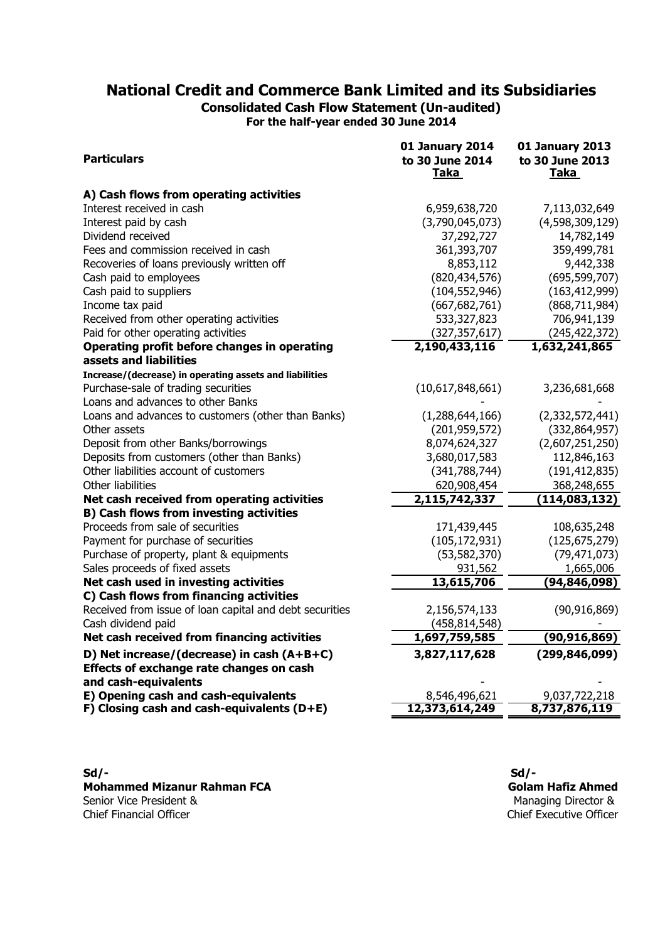**Consolidated Cash Flow Statement (Un-audited) For the half-year ended 30 June 2014**

| <b>Particulars</b>                                                                                             | 01 January 2014<br>to 30 June 2014<br>Taka | <b>01 January 2013</b><br>to 30 June 2013<br>Taka |
|----------------------------------------------------------------------------------------------------------------|--------------------------------------------|---------------------------------------------------|
| A) Cash flows from operating activities                                                                        |                                            |                                                   |
| Interest received in cash                                                                                      | 6,959,638,720                              | 7,113,032,649                                     |
| Interest paid by cash                                                                                          | (3,790,045,073)                            | (4,598,309,129)                                   |
| Dividend received                                                                                              | 37,292,727                                 | 14,782,149                                        |
| Fees and commission received in cash                                                                           | 361,393,707                                | 359,499,781                                       |
| Recoveries of loans previously written off                                                                     | 8,853,112                                  | 9,442,338                                         |
| Cash paid to employees                                                                                         | (820, 434, 576)                            | (695, 599, 707)                                   |
| Cash paid to suppliers                                                                                         | (104, 552, 946)                            | (163, 412, 999)                                   |
| Income tax paid                                                                                                | (667, 682, 761)                            | (868, 711, 984)                                   |
| Received from other operating activities                                                                       | 533,327,823                                | 706,941,139                                       |
| Paid for other operating activities                                                                            | (327, 357, 617)                            | (245, 422, 372)                                   |
| Operating profit before changes in operating                                                                   | 2,190,433,116                              | 1,632,241,865                                     |
| assets and liabilities                                                                                         |                                            |                                                   |
| Increase/(decrease) in operating assets and liabilities                                                        |                                            |                                                   |
| Purchase-sale of trading securities                                                                            | (10,617,848,661)                           | 3,236,681,668                                     |
| Loans and advances to other Banks                                                                              |                                            |                                                   |
| Loans and advances to customers (other than Banks)                                                             | (1,288,644,166)                            | (2,332,572,441)                                   |
| Other assets                                                                                                   | (201, 959, 572)                            | (332, 864, 957)                                   |
| Deposit from other Banks/borrowings                                                                            | 8,074,624,327                              | (2,607,251,250)                                   |
| Deposits from customers (other than Banks)                                                                     | 3,680,017,583                              | 112,846,163                                       |
| Other liabilities account of customers                                                                         | (341, 788, 744)                            | (191, 412, 835)                                   |
| Other liabilities                                                                                              | 620,908,454                                | 368,248,655                                       |
| Net cash received from operating activities                                                                    | 2,115,742,337                              | (114, 083, 132)                                   |
| <b>B) Cash flows from investing activities</b><br>Proceeds from sale of securities                             | 171,439,445                                |                                                   |
|                                                                                                                |                                            | 108,635,248                                       |
| Payment for purchase of securities                                                                             | (105, 172, 931)                            | (125, 675, 279)                                   |
| Purchase of property, plant & equipments                                                                       | (53, 582, 370)                             | (79, 471, 073)                                    |
| Sales proceeds of fixed assets                                                                                 | 931,562<br>13,615,706                      | 1,665,006                                         |
| Net cash used in investing activities<br>C) Cash flows from financing activities                               |                                            | (94, 846, 098)                                    |
| Received from issue of loan capital and debt securities                                                        | 2,156,574,133                              | (90, 916, 869)                                    |
| Cash dividend paid                                                                                             |                                            |                                                   |
| Net cash received from financing activities                                                                    | (458, 814, 548)                            | (90, 916, 869)                                    |
|                                                                                                                | 1,697,759,585                              |                                                   |
| D) Net increase/(decrease) in cash (A+B+C)<br>Effects of exchange rate changes on cash<br>and cash-equivalents | 3,827,117,628                              | (299, 846, 099)                                   |
| E) Opening cash and cash-equivalents                                                                           | 8,546,496,621                              | 9,037,722,218                                     |
| F) Closing cash and cash-equivalents (D+E)                                                                     | 12,373,614,249                             | 8,737,876,119                                     |

**Mohammed Mizanur Rahman FCA** Senior Vice President &<br>Chief Financial Officer

**Sd/- Sd/-** Chief Executive Officer Managing Director & **Golam Hafiz Ahmed**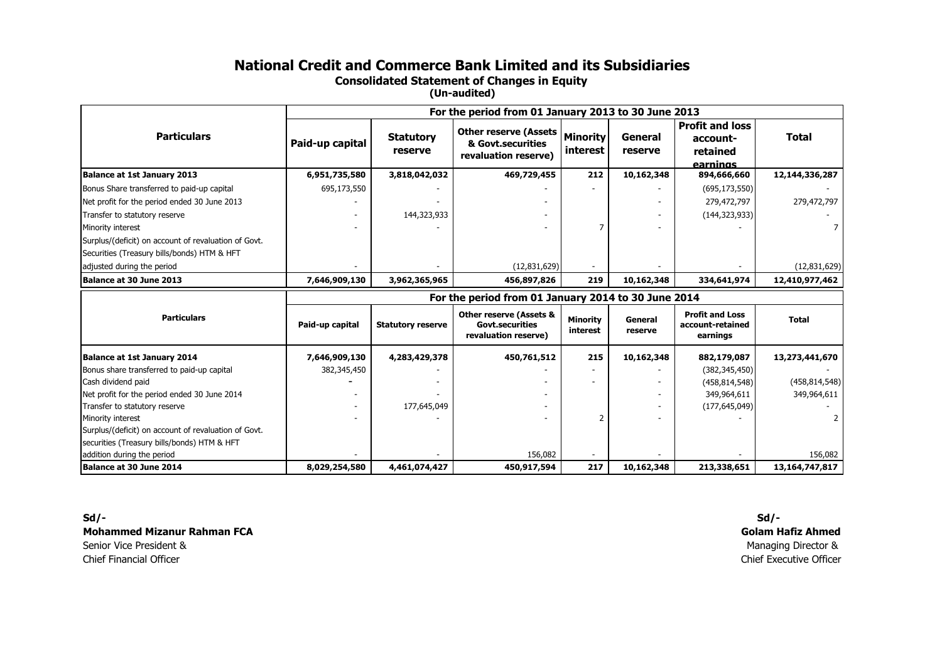**Consolidated Statement of Changes in Equity** 

**(Un-audited)**

|                                                                                                     | For the period from 01 January 2013 to 30 June 2013 |                             |                                                                                      |                                    |                    |                                                            |                              |
|-----------------------------------------------------------------------------------------------------|-----------------------------------------------------|-----------------------------|--------------------------------------------------------------------------------------|------------------------------------|--------------------|------------------------------------------------------------|------------------------------|
| <b>Particulars</b>                                                                                  | Paid-up capital                                     | <b>Statutory</b><br>reserve | <b>Other reserve (Assets</b><br>& Govt.securities<br>revaluation reserve)            | <b>Minority</b><br><i>interest</i> | General<br>reserve | <b>Profit and loss</b><br>account-<br>retained<br>earnings | <b>Total</b>                 |
| <b>Balance at 1st January 2013</b>                                                                  | 6,951,735,580                                       | 3,818,042,032               | 469,729,455                                                                          | 212                                | 10,162,348         | 894,666,660                                                | 12,144,336,287               |
| Bonus Share transferred to paid-up capital                                                          | 695,173,550                                         |                             |                                                                                      |                                    |                    | (695, 173, 550)                                            |                              |
| Net profit for the period ended 30 June 2013                                                        |                                                     |                             |                                                                                      |                                    |                    | 279,472,797                                                | 279,472,797                  |
| Transfer to statutory reserve                                                                       |                                                     | 144,323,933                 |                                                                                      |                                    |                    | (144, 323, 933)                                            |                              |
| Minority interest                                                                                   |                                                     |                             |                                                                                      | $\overline{7}$                     |                    |                                                            | 7                            |
| Surplus/(deficit) on account of revaluation of Govt.<br>Securities (Treasury bills/bonds) HTM & HFT |                                                     |                             |                                                                                      |                                    |                    |                                                            |                              |
| adjusted during the period                                                                          |                                                     |                             | (12,831,629)                                                                         |                                    |                    |                                                            | (12,831,629)                 |
| Balance at 30 June 2013                                                                             | 7,646,909,130                                       | 3,962,365,965               | 456,897,826                                                                          | 219                                | 10,162,348         | 334,641,974                                                | 12,410,977,462               |
|                                                                                                     |                                                     |                             | For the period from 01 January 2014 to 30 June 2014                                  |                                    |                    |                                                            |                              |
| <b>Particulars</b>                                                                                  | Paid-up capital                                     | <b>Statutory reserve</b>    | <b>Other reserve (Assets &amp;</b><br><b>Govt.securities</b><br>revaluation reserve) | <b>Minority</b><br>interest        | General<br>reserve | <b>Profit and Loss</b><br>account-retained<br>earnings     | <b>Total</b>                 |
| <b>Balance at 1st January 2014</b>                                                                  | 7,646,909,130                                       | 4,283,429,378               | 450,761,512                                                                          | 215                                | 10,162,348         | 882,179,087                                                | 13,273,441,670               |
| Bonus share transferred to paid-up capital                                                          | 382,345,450                                         |                             |                                                                                      |                                    |                    | (382, 345, 450)                                            |                              |
| Cash dividend paid                                                                                  |                                                     |                             |                                                                                      |                                    |                    | (458, 814, 548)                                            | (458, 814, 548)              |
|                                                                                                     |                                                     |                             |                                                                                      |                                    |                    |                                                            |                              |
| Net profit for the period ended 30 June 2014                                                        |                                                     |                             |                                                                                      |                                    |                    | 349,964,611                                                | 349,964,611                  |
| Transfer to statutory reserve                                                                       |                                                     | 177,645,049                 |                                                                                      |                                    |                    | (177, 645, 049)                                            |                              |
| Minority interest                                                                                   |                                                     |                             |                                                                                      | $\overline{\phantom{0}}$           |                    |                                                            |                              |
| Surplus/(deficit) on account of revaluation of Govt.                                                |                                                     |                             |                                                                                      |                                    |                    |                                                            |                              |
| securities (Treasury bills/bonds) HTM & HFT                                                         |                                                     |                             |                                                                                      |                                    |                    |                                                            |                              |
| addition during the period<br>Balance at 30 June 2014                                               | 8,029,254,580                                       | 4,461,074,427               | 156,082<br>450,917,594                                                               | 217                                | 10,162,348         | 213,338,651                                                | 156,082<br>13, 164, 747, 817 |

**Sd/- Sd/- Mohammed Mizanur Rahman FCA**Senior Vice President &**Chief Financial Officer** Chief Financial Officer Chief Executive Officer

**Golam Hafiz Ahmed**Managing Director &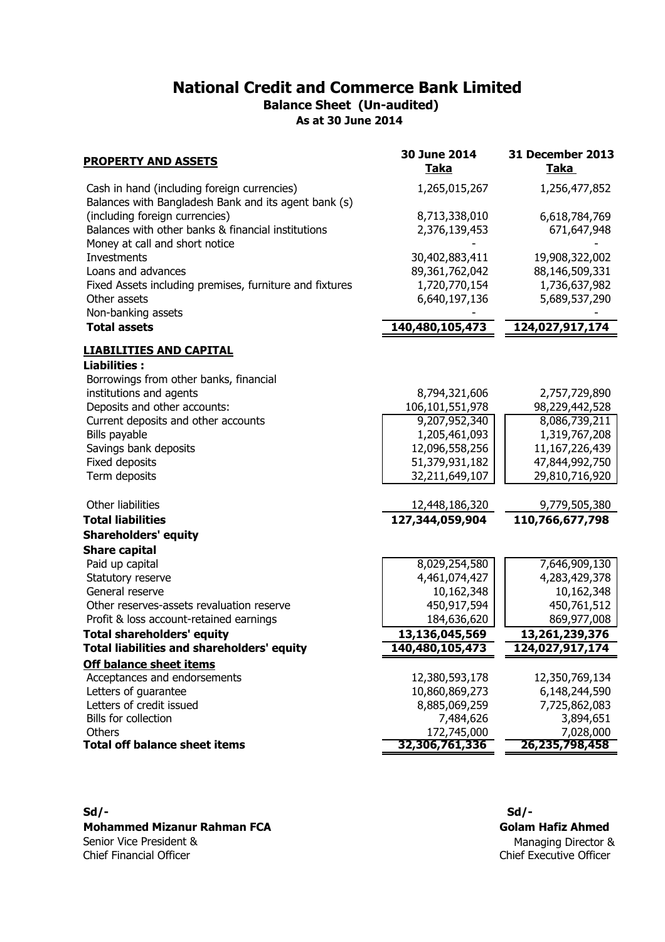## **National Credit and Commerce Bank Limited As at 30 June 2014 Balance Sheet (Un-audited)**

| <b>PROPERTY AND ASSETS</b>                                                                          | 30 June 2014<br><u>Taka</u>     | 31 December 2013<br><u>Taka</u> |
|-----------------------------------------------------------------------------------------------------|---------------------------------|---------------------------------|
| Cash in hand (including foreign currencies)<br>Balances with Bangladesh Bank and its agent bank (s) | 1,265,015,267                   | 1,256,477,852                   |
| (including foreign currencies)                                                                      | 8,713,338,010                   | 6,618,784,769                   |
| Balances with other banks & financial institutions<br>Money at call and short notice                | 2,376,139,453                   | 671,647,948                     |
| Investments                                                                                         | 30,402,883,411                  | 19,908,322,002                  |
| Loans and advances                                                                                  | 89,361,762,042                  | 88,146,509,331                  |
| Fixed Assets including premises, furniture and fixtures                                             | 1,720,770,154                   | 1,736,637,982                   |
| Other assets                                                                                        | 6,640,197,136                   | 5,689,537,290                   |
| Non-banking assets                                                                                  |                                 |                                 |
| <b>Total assets</b>                                                                                 | 140,480,105,473                 | 124,027,917,174                 |
| <b>LIABILITIES AND CAPITAL</b>                                                                      |                                 |                                 |
| <b>Liabilities:</b>                                                                                 |                                 |                                 |
| Borrowings from other banks, financial                                                              |                                 |                                 |
| institutions and agents                                                                             | 8,794,321,606                   | 2,757,729,890                   |
| Deposits and other accounts:                                                                        | 106,101,551,978                 | 98,229,442,528                  |
| Current deposits and other accounts                                                                 | 9,207,952,340                   | 8,086,739,211                   |
| Bills payable                                                                                       | 1,205,461,093                   | 1,319,767,208                   |
| Savings bank deposits                                                                               | 12,096,558,256                  | 11,167,226,439                  |
| Fixed deposits                                                                                      | 51,379,931,182                  | 47,844,992,750                  |
| Term deposits                                                                                       | 32,211,649,107                  | 29,810,716,920                  |
| Other liabilities                                                                                   | 12,448,186,320                  | 9,779,505,380                   |
| <b>Total liabilities</b>                                                                            | 127,344,059,904                 | 110,766,677,798                 |
| <b>Shareholders' equity</b>                                                                         |                                 |                                 |
| <b>Share capital</b>                                                                                |                                 |                                 |
| Paid up capital                                                                                     | 8,029,254,580                   | 7,646,909,130                   |
| Statutory reserve                                                                                   | 4,461,074,427                   | 4,283,429,378                   |
| General reserve                                                                                     | 10,162,348                      | 10,162,348                      |
| Other reserves-assets revaluation reserve                                                           | 450,917,594                     | 450,761,512                     |
| Profit & loss account-retained earnings                                                             | 184,636,620                     | 869,977,008                     |
| <b>Total shareholders' equity</b>                                                                   | 13,136,045,569                  | 13,261,239,376                  |
| <b>Total liabilities and shareholders' equity</b>                                                   | 140,480,105,473                 | 124,027,917,174                 |
| <b>Off balance sheet items</b>                                                                      |                                 |                                 |
| Acceptances and endorsements                                                                        | 12,380,593,178                  | 12,350,769,134                  |
| Letters of guarantee<br>Letters of credit issued                                                    | 10,860,869,273<br>8,885,069,259 | 6,148,244,590                   |
| Bills for collection                                                                                | 7,484,626                       | 7,725,862,083<br>3,894,651      |
| Others                                                                                              | 172,745,000                     | 7,028,000                       |
| <b>Total off balance sheet items</b>                                                                | 32,306,761,336                  | 26,235,798,458                  |
|                                                                                                     |                                 |                                 |

**Mohammed Mizanur Rahman FCA** Senior Vice President & Chief Financial Officer

**Sd/- Sd/-** Chief Executive Officer Managing Director & **Golam Hafiz Ahmed**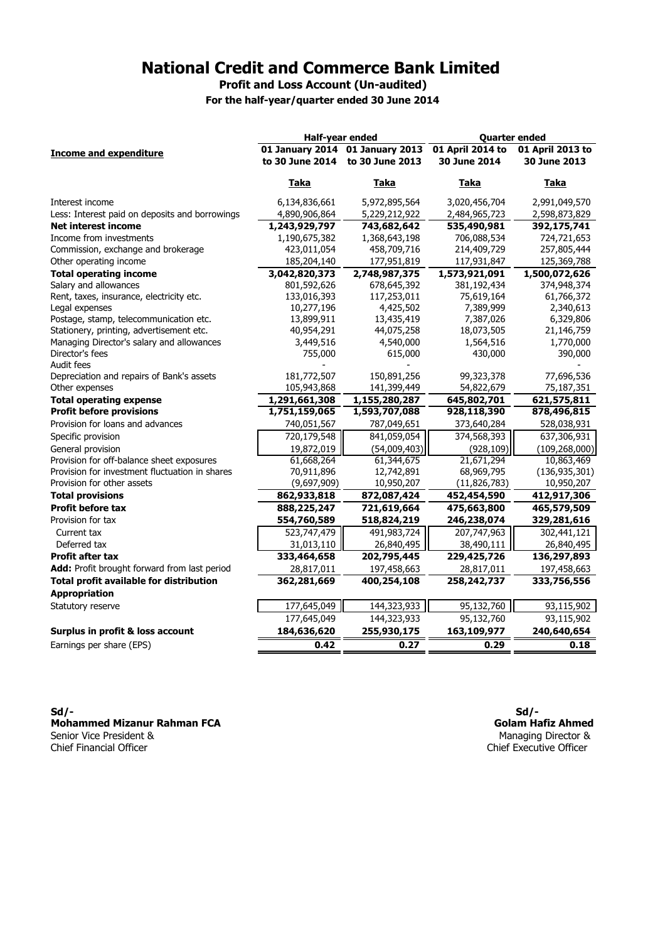**Profit and Loss Account (Un-audited)**

**For the half-year/quarter ended 30 June 2014**

|                                                | Half-year ended                 |                 | <b>Quarter ended</b> |                  |  |
|------------------------------------------------|---------------------------------|-----------------|----------------------|------------------|--|
| <b>Income and expenditure</b>                  | 01 January 2014 01 January 2013 |                 | 01 April 2014 to     | 01 April 2013 to |  |
|                                                | to 30 June 2014                 | to 30 June 2013 | 30 June 2014         | 30 June 2013     |  |
|                                                | Taka                            | Taka            | Taka                 | Taka             |  |
| Interest income                                | 6,134,836,661                   | 5,972,895,564   | 3,020,456,704        | 2,991,049,570    |  |
| Less: Interest paid on deposits and borrowings | 4,890,906,864                   | 5,229,212,922   | 2,484,965,723        | 2,598,873,829    |  |
| <b>Net interest income</b>                     | 1,243,929,797                   | 743,682,642     | 535,490,981          | 392,175,741      |  |
| Income from investments                        | 1,190,675,382                   | 1,368,643,198   | 706,088,534          | 724,721,653      |  |
| Commission, exchange and brokerage             | 423,011,054                     | 458,709,716     | 214,409,729          | 257,805,444      |  |
| Other operating income                         | 185,204,140                     | 177,951,819     | 117,931,847          | 125,369,788      |  |
| <b>Total operating income</b>                  | 3,042,820,373                   | 2,748,987,375   | 1,573,921,091        | 1,500,072,626    |  |
| Salary and allowances                          | 801,592,626                     | 678,645,392     | 381,192,434          | 374,948,374      |  |
| Rent, taxes, insurance, electricity etc.       | 133,016,393                     | 117,253,011     | 75,619,164           | 61,766,372       |  |
| Legal expenses                                 | 10,277,196                      | 4,425,502       | 7,389,999            | 2,340,613        |  |
| Postage, stamp, telecommunication etc.         | 13,899,911                      | 13,435,419      | 7,387,026            | 6,329,806        |  |
| Stationery, printing, advertisement etc.       | 40,954,291                      | 44,075,258      | 18,073,505           | 21,146,759       |  |
| Managing Director's salary and allowances      | 3,449,516                       | 4,540,000       | 1,564,516            | 1,770,000        |  |
| Director's fees                                | 755,000                         | 615,000         | 430,000              | 390,000          |  |
| Audit fees                                     |                                 |                 |                      |                  |  |
| Depreciation and repairs of Bank's assets      | 181,772,507                     | 150,891,256     | 99,323,378           | 77,696,536       |  |
| Other expenses                                 | 105,943,868                     | 141,399,449     | 54,822,679           | 75,187,351       |  |
| <b>Total operating expense</b>                 | 1,291,661,308                   | 1,155,280,287   | 645,802,701          | 621,575,811      |  |
| <b>Profit before provisions</b>                | 1,751,159,065                   | 1,593,707,088   | 928,118,390          | 878,496,815      |  |
| Provision for loans and advances               | 740,051,567                     | 787,049,651     | 373,640,284          | 528,038,931      |  |
| Specific provision                             | 720,179,548                     | 841,059,054     | 374,568,393          | 637,306,931      |  |
| General provision                              | 19,872,019                      | (54,009,403)    | (928, 109)           | (109, 268, 000)  |  |
| Provision for off-balance sheet exposures      | 61,668,264                      | 61,344,675      | 21,671,294           | 10,863,469       |  |
| Provision for investment fluctuation in shares | 70,911,896                      | 12,742,891      | 68,969,795           | (136, 935, 301)  |  |
| Provision for other assets                     | (9,697,909)                     | 10,950,207      | (11, 826, 783)       | 10,950,207       |  |
| <b>Total provisions</b>                        | 862,933,818                     | 872,087,424     | 452,454,590          | 412,917,306      |  |
| <b>Profit before tax</b>                       | 888,225,247                     | 721,619,664     | 475,663,800          | 465,579,509      |  |
| Provision for tax                              | 554,760,589                     | 518,824,219     | 246,238,074          | 329,281,616      |  |
| Current tax                                    | 523,747,479                     | 491,983,724     | 207,747,963          | 302,441,121      |  |
| Deferred tax                                   | 31,013,110                      | 26,840,495      | 38,490,111           | 26,840,495       |  |
| <b>Profit after tax</b>                        | 333,464,658                     | 202,795,445     | 229,425,726          | 136,297,893      |  |
| Add: Profit brought forward from last period   | 28,817,011                      | 197,458,663     | 28,817,011           | 197,458,663      |  |
| <b>Total profit available for distribution</b> | 362,281,669                     | 400,254,108     | 258,242,737          | 333,756,556      |  |
| <b>Appropriation</b>                           |                                 |                 |                      |                  |  |
| Statutory reserve                              | 177,645,049                     | 144,323,933     | 95,132,760           | 93,115,902       |  |
|                                                | 177,645,049                     | 144,323,933     | 95,132,760           | 93,115,902       |  |
| Surplus in profit & loss account               | 184,636,620                     | 255,930,175     | 163,109,977          | 240,640,654      |  |
| Earnings per share (EPS)                       | 0.42                            | 0.27            | 0.29                 | 0.18             |  |
|                                                |                                 |                 |                      |                  |  |

**Sd/- Sd/- Mohammed Mizanur Rahman FCA** Senior Vice President & Chief Financial Officer

**Golam Hafiz Ahmed** Managing Director & Chief Executive Officer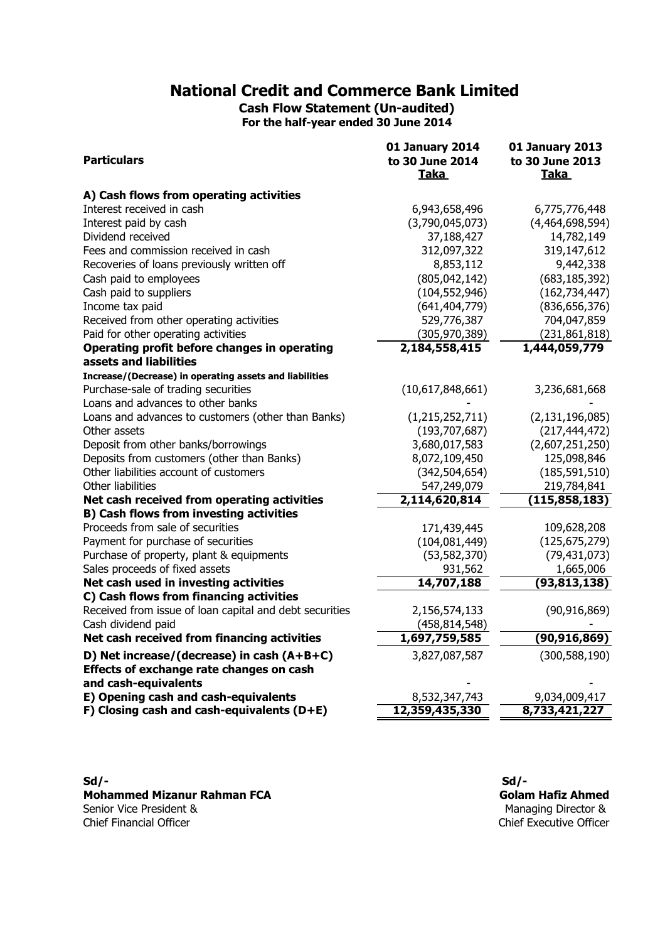**Cash Flow Statement (Un-audited) For the half-year ended 30 June 2014**

| <b>Particulars</b>                                                                            | 01 January 2014<br>to 30 June 2014 | <b>01 January 2013</b><br>to 30 June 2013 |
|-----------------------------------------------------------------------------------------------|------------------------------------|-------------------------------------------|
|                                                                                               | Taka                               | Taka                                      |
| A) Cash flows from operating activities                                                       |                                    |                                           |
| Interest received in cash                                                                     | 6,943,658,496                      | 6,775,776,448                             |
| Interest paid by cash                                                                         | (3,790,045,073)                    | (4,464,698,594)                           |
| Dividend received                                                                             | 37,188,427                         | 14,782,149                                |
| Fees and commission received in cash                                                          | 312,097,322                        | 319,147,612                               |
| Recoveries of loans previously written off                                                    | 8,853,112                          | 9,442,338                                 |
| Cash paid to employees                                                                        | (805, 042, 142)                    | (683, 185, 392)                           |
| Cash paid to suppliers                                                                        | (104, 552, 946)                    | (162, 734, 447)                           |
| Income tax paid                                                                               | (641, 404, 779)                    | (836, 656, 376)                           |
| Received from other operating activities                                                      | 529,776,387                        | 704,047,859                               |
| Paid for other operating activities                                                           | (305, 970, 389)                    | (231, 861, 818)                           |
| Operating profit before changes in operating                                                  | 2,184,558,415                      | 1,444,059,779                             |
| assets and liabilities                                                                        |                                    |                                           |
| Increase/(Decrease) in operating assets and liabilities                                       |                                    |                                           |
| Purchase-sale of trading securities                                                           | (10,617,848,661)                   | 3,236,681,668                             |
| Loans and advances to other banks                                                             |                                    |                                           |
| Loans and advances to customers (other than Banks)                                            | (1, 215, 252, 711)                 | (2, 131, 196, 085)                        |
| Other assets                                                                                  | (193, 707, 687)                    | (217, 444, 472)                           |
| Deposit from other banks/borrowings                                                           | 3,680,017,583                      | (2,607,251,250)                           |
| Deposits from customers (other than Banks)                                                    | 8,072,109,450                      | 125,098,846                               |
| Other liabilities account of customers                                                        | (342, 504, 654)                    | (185, 591, 510)                           |
| Other liabilities                                                                             | 547,249,079                        | 219,784,841                               |
| Net cash received from operating activities<br><b>B) Cash flows from investing activities</b> | 2,114,620,814                      | (115, 858, 183)                           |
| Proceeds from sale of securities                                                              | 171,439,445                        | 109,628,208                               |
| Payment for purchase of securities                                                            | (104, 081, 449)                    | (125, 675, 279)                           |
| Purchase of property, plant & equipments                                                      | (53, 582, 370)                     | (79, 431, 073)                            |
| Sales proceeds of fixed assets                                                                | 931,562                            | 1,665,006                                 |
| Net cash used in investing activities                                                         | 14,707,188                         | (93, 813, 138)                            |
| C) Cash flows from financing activities                                                       |                                    |                                           |
| Received from issue of loan capital and debt securities                                       | 2,156,574,133                      | (90, 916, 869)                            |
| Cash dividend paid                                                                            | (458, 814, 548)                    |                                           |
| Net cash received from financing activities                                                   | 1,697,759,585                      | (90, 916, 869)                            |
| D) Net increase/(decrease) in cash (A+B+C)                                                    | 3,827,087,587                      | (300, 588, 190)                           |
| Effects of exchange rate changes on cash                                                      |                                    |                                           |
| and cash-equivalents                                                                          |                                    |                                           |
| E) Opening cash and cash-equivalents                                                          | 8,532,347,743                      | 9,034,009,417                             |
| F) Closing cash and cash-equivalents $(D+E)$                                                  | 12,359,435,330                     | 8,733,421,227                             |

**Mohammed Mizanur Rahman FCA** Senior Vice President & Chief Financial Officer Chief Executive Officer

**Sd/- Sd/-** Managing Director & **Golam Hafiz Ahmed**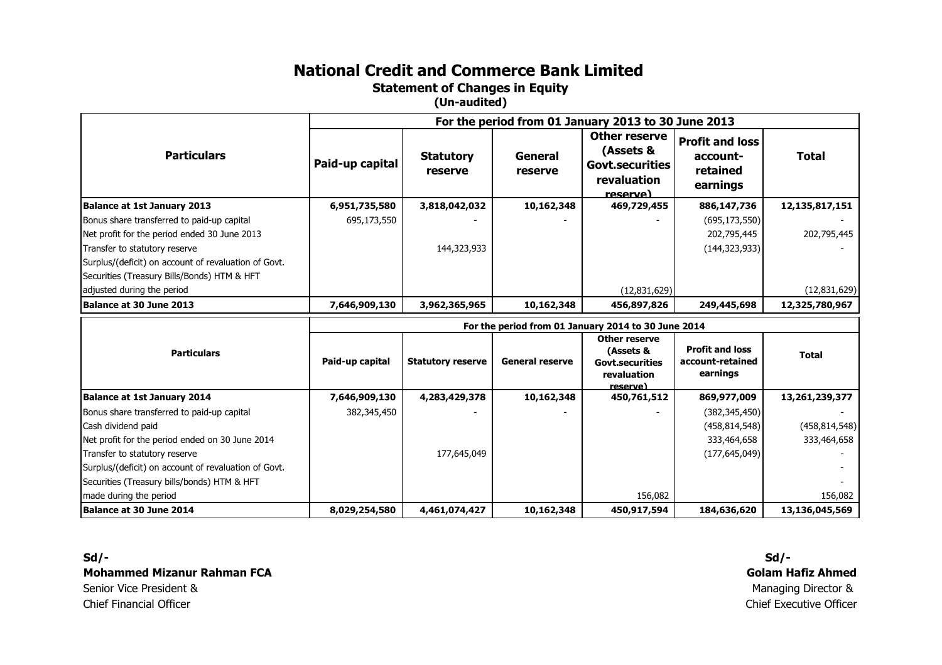**Statement of Changes in Equity** 

**(Un-audited)**

|                                                      | For the period from 01 January 2013 to 30 June 2013 |                             |                        |                                                                                        |                                                            |                                |
|------------------------------------------------------|-----------------------------------------------------|-----------------------------|------------------------|----------------------------------------------------------------------------------------|------------------------------------------------------------|--------------------------------|
| <b>Particulars</b>                                   | Paid-up capital                                     | <b>Statutory</b><br>reserve | General<br>reserve     | <b>Other reserve</b><br>(Assets &<br><b>Govt.securities</b><br>revaluation<br>reserve) | <b>Profit and loss</b><br>account-<br>retained<br>earnings | <b>Total</b>                   |
| <b>Balance at 1st January 2013</b>                   | 6,951,735,580                                       | 3,818,042,032               | 10,162,348             | 469,729,455                                                                            | 886,147,736                                                | 12,135,817,151                 |
| Bonus share transferred to paid-up capital           | 695,173,550                                         |                             |                        |                                                                                        | (695, 173, 550)                                            |                                |
| Net profit for the period ended 30 June 2013         |                                                     |                             |                        |                                                                                        | 202,795,445                                                | 202,795,445                    |
| Transfer to statutory reserve                        |                                                     | 144,323,933                 |                        |                                                                                        | (144, 323, 933)                                            |                                |
| Surplus/(deficit) on account of revaluation of Govt. |                                                     |                             |                        |                                                                                        |                                                            |                                |
| Securities (Treasury Bills/Bonds) HTM & HFT          |                                                     |                             |                        |                                                                                        |                                                            |                                |
| adjusted during the period                           |                                                     |                             |                        | (12, 831, 629)                                                                         |                                                            | (12,831,629)                   |
| Balance at 30 June 2013                              | 7,646,909,130                                       | 3,962,365,965               | 10,162,348             | 456,897,826                                                                            | 249,445,698                                                | 12,325,780,967                 |
|                                                      | For the period from 01 January 2014 to 30 June 2014 |                             |                        |                                                                                        |                                                            |                                |
|                                                      |                                                     |                             |                        |                                                                                        |                                                            |                                |
| <b>Particulars</b>                                   | Paid-up capital                                     | <b>Statutory reserve</b>    | <b>General reserve</b> | Other reserve<br>(Assets &<br><b>Govt.securities</b><br>revaluation                    | <b>Profit and loss</b><br>account-retained<br>earnings     | <b>Total</b>                   |
| <b>Balance at 1st January 2014</b>                   | 7,646,909,130                                       | 4,283,429,378               | 10,162,348             | reserve)<br>450,761,512                                                                | 869,977,009                                                | 13,261,239,377                 |
| Bonus share transferred to paid-up capital           | 382,345,450                                         |                             |                        |                                                                                        | (382, 345, 450)                                            |                                |
| Cash dividend paid                                   |                                                     |                             |                        |                                                                                        | (458, 814, 548)                                            |                                |
| Net profit for the period ended on 30 June 2014      |                                                     |                             |                        |                                                                                        | 333,464,658                                                | (458, 814, 548)<br>333,464,658 |
| Transfer to statutory reserve                        |                                                     | 177,645,049                 |                        |                                                                                        | (177, 645, 049)                                            |                                |
| Surplus/(deficit) on account of revaluation of Govt. |                                                     |                             |                        |                                                                                        |                                                            |                                |
| Securities (Treasury bills/bonds) HTM & HFT          |                                                     |                             |                        |                                                                                        |                                                            |                                |
| made during the period                               |                                                     |                             |                        | 156,082                                                                                |                                                            | 156,082                        |

**Sd/- Sd/- Mohammed Mizanur Rahman FCA**Senior Vice President &Chief Financial Officer

Chief Executive Officer **Golam Hafiz Ahmed**Managing Director &